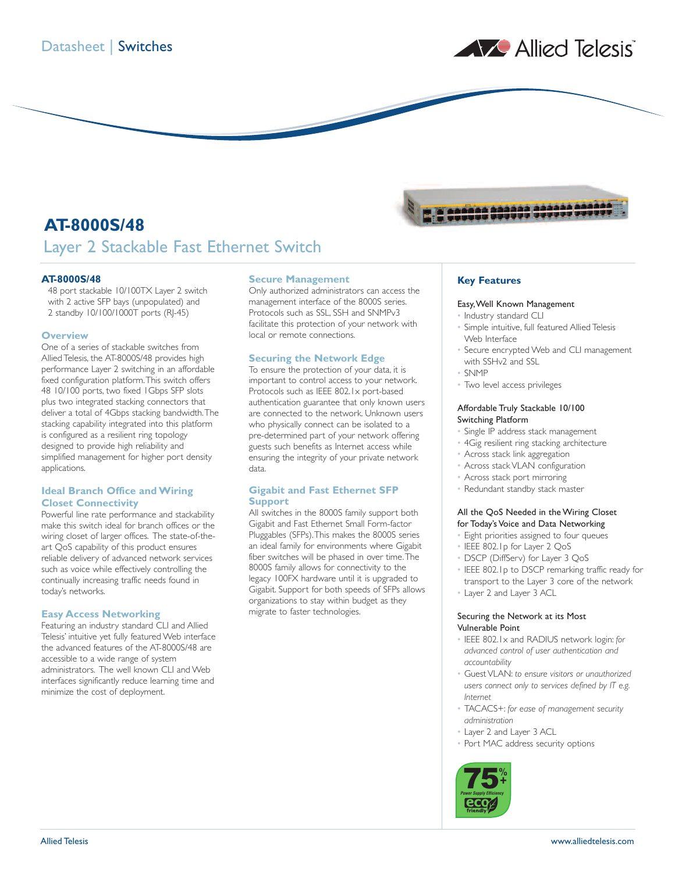

# **AT-8000S/48** Layer 2 Stackable Fast Ethernet Switch

### **AT-8000S/48**

48 port stackable 10/100TX Layer 2 switch with 2 active SFP bays (unpopulated) and 2 standby 10/100/1000T ports (RJ-45)

#### **Overview**

One of a series of stackable switches from Allied Telesis, the AT-8000S/48 provides high performance Layer 2 switching in an affordable fixed configuration platform.This switch offers 48 10/100 ports, two fixed 1Gbps SFP slots plus two integrated stacking connectors that deliver a total of 4Gbps stacking bandwidth.The stacking capability integrated into this platform is configured as a resilient ring topology designed to provide high reliability and simplified management for higher port density applications.

### **Ideal Branch Office and Wiring Closet Connectivity**

Powerful line rate performance and stackability make this switch ideal for branch offices or the wiring closet of larger offices. The state-of-theart QoS capability of this product ensures reliable delivery of advanced network services such as voice while effectively controlling the continually increasing traffic needs found in today's networks.

#### **Easy Access Networking**

Featuring an industry standard CLI and Allied Telesis' intuitive yet fully featured Web interface the advanced features of the AT-8000S/48 are accessible to a wide range of system administrators. The well known CLI and Web interfaces significantly reduce learning time and minimize the cost of deployment.

#### **Secure Management**

Only authorized administrators can access the management interface of the 8000S series. Protocols such as SSL, SSH and SNMPv3 facilitate this protection of your network with local or remote connections.

# **Securing the Network Edge**

To ensure the protection of your data, it is important to control access to your network. Protocols such as IEEE 802.1x port-based authentication guarantee that only known users are connected to the network. Unknown users who physically connect can be isolated to a pre-determined part of your network offering guests such benefits as Internet access while ensuring the integrity of your private network data.

#### **Gigabit and Fast Ethernet SFP Support**

All switches in the 8000S family support both Gigabit and Fast Ethernet Small Form-factor Pluggables (SFPs).This makes the 8000S series an ideal family for environments where Gigabit fiber switches will be phased in over time.The 8000S family allows for connectivity to the legacy 100FX hardware until it is upgraded to Gigabit. Support for both speeds of SFPs allows organizations to stay within budget as they migrate to faster technologies.



# **Key Features**

#### Easy,Well Known Management

- Industry standard CLI
- Simple intuitive, full featured Allied Telesis Web Interface
- Secure encrypted Web and CLI management with SSHv2 and SSL
- SNMP
- Two level access privileges

# Affordable Truly Stackable 10/100 Switching Platform

- Single IP address stack management
- 4Gig resilient ring stacking architecture
- Across stack link aggregation
- Across stack VLAN configuration
- Across stack port mirroring
- Redundant standby stack master

#### All the QoS Needed in the Wiring Closet for Today's Voice and Data Networking

- Eight priorities assigned to four queues
- IEEE 802.1p for Layer 2 QoS
- DSCP (DiffServ) for Layer 3 QoS
- IEEE 802.1p to DSCP remarking traffic ready for transport to the Layer 3 core of the network
- Layer 2 and Layer 3 ACL

### Securing the Network at its Most Vulnerable Point

- IEEE 802.1x and RADIUS network login: *for advanced control of user authentication and accountability*
- Guest VLAN: *to ensure visitors or unauthorized users connect only to services defined by IT e.g. Internet*
- TACACS+: *for ease of management security administration*
- Layer 2 and Layer 3 ACL
- Port MAC address security options

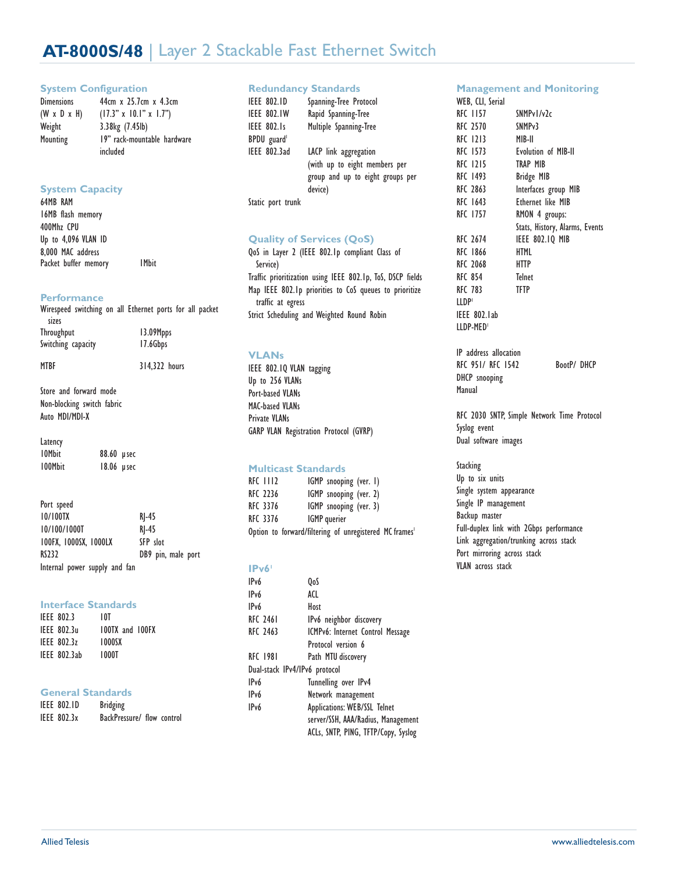# **AT-8000S/48** | Layer 2 Stackable Fast Ethernet Switch

#### **System Configuration**

| <b>Dimensions</b>       | 44cm x 25.7cm x 4.3cm                   |
|-------------------------|-----------------------------------------|
| $(W \times D \times H)$ | $(17.3" \times 10.1" \times 1.7")$      |
| Weight                  | 3.38kg (7.45lb)                         |
| Mounting                | 19" rack-mountable hardware<br>included |

# **System Capacity**

64MB RAM 16MB flash memory 400Mhz CPU Up to 4,096 VLAN ID 8,000 MAC address Packet buffer memory 1Mbit

# **Performance**

| sizes                      | Wirespeed switching on all Ethernet ports for all packet |
|----------------------------|----------------------------------------------------------|
| <b>Throughput</b>          | 13.09Mpps                                                |
| Switching capacity         | 17.6Gbps                                                 |
| <b>MTBF</b>                | 314.322 hours                                            |
| Store and forward mode     |                                                          |
| Non-blocking switch fabric |                                                          |
| Auto MDI/MDI-X             |                                                          |

Latency 10Mbit 88.60 µsec<br>100Mbit 18.06 µsec 18.06 µsec

| Port speed                    |                    |
|-------------------------------|--------------------|
| 10/100TX                      | $R$ -45            |
| 10/100/1000T                  | $RI-45$            |
| 100FX, 1000SX, 1000LX         | SFP slot           |
| <b>RS232</b>                  | DB9 pin, male port |
| Internal power supply and fan |                    |

### **Interface Standards**

| IEEE 802.3         | 10T                    |  |
|--------------------|------------------------|--|
| IFFF 802.3u        | <b>100TX and 100FX</b> |  |
| <b>IEEE 802.3z</b> | 1000SX                 |  |
| IEEE 802.3ab       | 1000T                  |  |

# **General Standards**

| <b>IEEE 802.ID</b> | <b>Bridging</b>            |  |
|--------------------|----------------------------|--|
| IEEE 802.3x        | BackPressure/ flow control |  |

# **Redundancy Standards**

| <b>IEEE 802.ID</b><br><b>IEEE 802.IW</b> | Spanning-Tree Protocol<br>Rapid Spanning-Tree |
|------------------------------------------|-----------------------------------------------|
| <b>IEEE 802.1s</b>                       | Multiple Spanning-Tree                        |
| BPDU guard                               |                                               |
| IEEE 802.3ad                             | LACP link aggregation                         |
|                                          | (with up to eight members per                 |
|                                          | group and up to eight groups per              |
|                                          | device)                                       |
| Static port trunk                        |                                               |

# **Quality of Services (QoS)**

QoS in Layer 2 (IEEE 802.1p compliant Class of Service) Traffic prioritization using IEEE 802.1p, ToS, DSCP fields Map IEEE 802.1p priorities to CoS queues to prioritize traffic at egress Strict Scheduling and Weighted Round Robin

# **VLANs**

IEEE 802.1Q VLAN tagging Up to 256 VLANs Port-based VLANs MAC-based VLANs Private VLANs GARP VLAN Registration Protocol (GVRP)

# **Multicast Standards**

| RFC 3376 | <b>IGMP</b> querier    |  |
|----------|------------------------|--|
| RFC 3376 | IGMP snooping (ver. 3) |  |
| RFC 2236 | IGMP snooping (ver. 2) |  |
| RFC 1112 | IGMP snooping (ver. I) |  |

# **IPv61**

| IP <sub>v6</sub>              | OoS                                 |
|-------------------------------|-------------------------------------|
| IPv6                          | ACL                                 |
| IP <sub>v</sub> 6             | Host                                |
| <b>RFC 2461</b>               | IPv6 neighbor discovery             |
| <b>RFC 2463</b>               | ICMPv6: Internet Control Message    |
|                               | Protocol version 6                  |
| <b>RFC 1981</b>               | Path MTU discovery                  |
| Dual-stack IPv4/IPv6 protocol |                                     |
| IP <sub>v</sub> 6             | Tunnelling over IPv4                |
| IP <sub>v</sub> 6             | Network management                  |
| IP <sub>v</sub> 6             | <b>Applications: WEB/SSL Telnet</b> |
|                               | server/SSH, AAA/Radius, Management  |
|                               | ACLs, SNTP, PING, TFTP/Copy, Syslog |

# **Management and Monitoring**

| WEB, CLI, Serial |                                |
|------------------|--------------------------------|
| RFC 1157         | SNMPv1/v2c                     |
| RFC 2570         | SNMP <sub>v</sub> 3            |
| RFC 1213         | MIB-II                         |
| RFC 1573         | <b>Evolution of MIB-II</b>     |
| RFC 1215         | TRAP MIB                       |
| RFC 1493         | <b>Bridge MIB</b>              |
| RFC 2863         | Interfaces group MIB           |
| RFC 1643         | <b>Ethernet like MIB</b>       |
| RFC 1757         | RMON 4 groups:                 |
|                  | Stats, History, Alarms, Events |
| RFC 2674         | <b>IEEE 802.10 MIB</b>         |
| RFC 1866         | HTML                           |
| RFC 2068         | <b>HTTP</b>                    |
| RFC 854          | <b>Telnet</b>                  |
| RFC 783          | <b>TFTP</b>                    |
| LLDP'            |                                |
| IEEE 802.lab     |                                |
| LLDP-MED'        |                                |
|                  |                                |

IP address allocation RFC 951/ RFC 1542 BootP/ DHCP DHCP snooping Manual

RFC 2030 SNTP, Simple Network Time Protocol Syslog event Dual software images

Stacking Up to six units Single system appearance Single IP management Backup master Full-duplex link with 2Gbps performance Link aggregation/trunking across stack Port mirroring across stack VLAN across stack